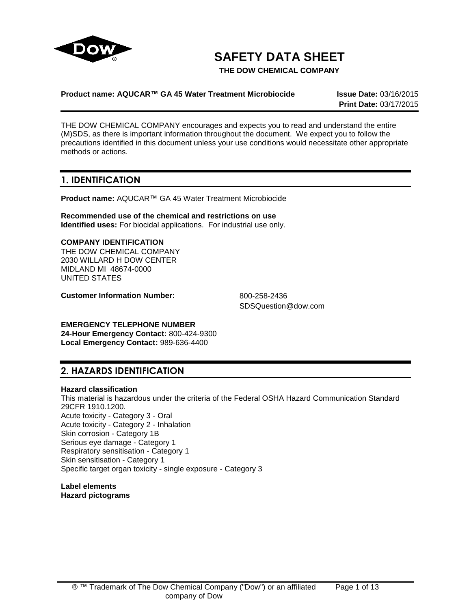

# **SAFETY DATA SHEET**

**THE DOW CHEMICAL COMPANY**

## **Product name: AQUCAR™ GA 45 Water Treatment Microbiocide Issue Date:** 03/16/2015

**Print Date:** 03/17/2015

THE DOW CHEMICAL COMPANY encourages and expects you to read and understand the entire (M)SDS, as there is important information throughout the document. We expect you to follow the precautions identified in this document unless your use conditions would necessitate other appropriate methods or actions.

## **1. IDENTIFICATION**

**Product name:** AQUCAR™ GA 45 Water Treatment Microbiocide

**Recommended use of the chemical and restrictions on use Identified uses:** For biocidal applications. For industrial use only.

### **COMPANY IDENTIFICATION**

THE DOW CHEMICAL COMPANY 2030 WILLARD H DOW CENTER MIDLAND MI 48674-0000 UNITED STATES

**Customer Information Number:** 800-258-2436

SDSQuestion@dow.com

#### **EMERGENCY TELEPHONE NUMBER**

**24-Hour Emergency Contact:** 800-424-9300 **Local Emergency Contact:** 989-636-4400

## **2. HAZARDS IDENTIFICATION**

## **Hazard classification**

This material is hazardous under the criteria of the Federal OSHA Hazard Communication Standard 29CFR 1910.1200. Acute toxicity - Category 3 - Oral Acute toxicity - Category 2 - Inhalation Skin corrosion - Category 1B Serious eye damage - Category 1 Respiratory sensitisation - Category 1 Skin sensitisation - Category 1 Specific target organ toxicity - single exposure - Category 3

**Label elements Hazard pictograms**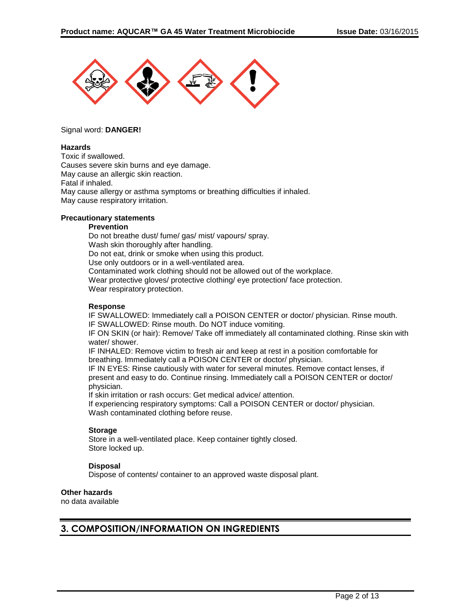

#### Signal word: **DANGER!**

## **Hazards**

Toxic if swallowed. Causes severe skin burns and eye damage. May cause an allergic skin reaction. Fatal if inhaled. May cause allergy or asthma symptoms or breathing difficulties if inhaled. May cause respiratory irritation.

#### **Precautionary statements**

#### **Prevention**

Do not breathe dust/ fume/ gas/ mist/ vapours/ spray. Wash skin thoroughly after handling. Do not eat, drink or smoke when using this product. Use only outdoors or in a well-ventilated area. Contaminated work clothing should not be allowed out of the workplace. Wear protective gloves/ protective clothing/ eye protection/ face protection. Wear respiratory protection.

#### **Response**

IF SWALLOWED: Immediately call a POISON CENTER or doctor/ physician. Rinse mouth. IF SWALLOWED: Rinse mouth. Do NOT induce vomiting.

IF ON SKIN (or hair): Remove/ Take off immediately all contaminated clothing. Rinse skin with water/ shower.

IF INHALED: Remove victim to fresh air and keep at rest in a position comfortable for breathing. Immediately call a POISON CENTER or doctor/ physician.

IF IN EYES: Rinse cautiously with water for several minutes. Remove contact lenses, if present and easy to do. Continue rinsing. Immediately call a POISON CENTER or doctor/ physician.

If skin irritation or rash occurs: Get medical advice/ attention.

If experiencing respiratory symptoms: Call a POISON CENTER or doctor/ physician. Wash contaminated clothing before reuse.

#### **Storage**

Store in a well-ventilated place. Keep container tightly closed. Store locked up.

### **Disposal**

Dispose of contents/ container to an approved waste disposal plant.

#### **Other hazards**

no data available

## **3. COMPOSITION/INFORMATION ON INGREDIENTS**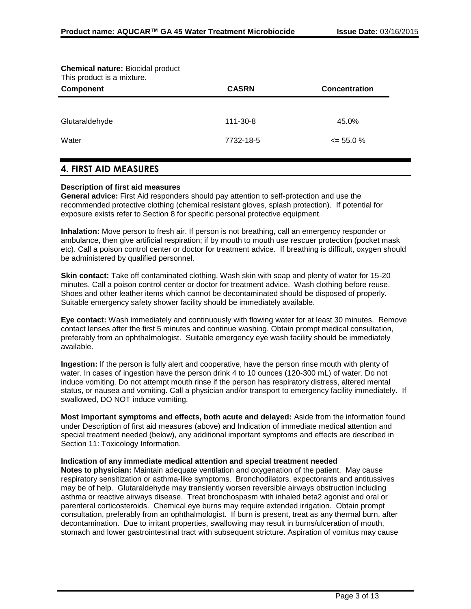| <b>Chemical nature: Biocidal product</b><br>This product is a mixture. |              |                      |
|------------------------------------------------------------------------|--------------|----------------------|
| <b>Component</b>                                                       | <b>CASRN</b> | <b>Concentration</b> |
|                                                                        |              |                      |
| Glutaraldehyde                                                         | 111-30-8     | 45.0%                |
| Water                                                                  | 7732-18-5    | $\leq$ 55.0 %        |
|                                                                        |              |                      |

## **4. FIRST AID MEASURES**

#### **Description of first aid measures**

**General advice:** First Aid responders should pay attention to self-protection and use the recommended protective clothing (chemical resistant gloves, splash protection). If potential for exposure exists refer to Section 8 for specific personal protective equipment.

**Inhalation:** Move person to fresh air. If person is not breathing, call an emergency responder or ambulance, then give artificial respiration; if by mouth to mouth use rescuer protection (pocket mask etc). Call a poison control center or doctor for treatment advice. If breathing is difficult, oxygen should be administered by qualified personnel.

**Skin contact:** Take off contaminated clothing. Wash skin with soap and plenty of water for 15-20 minutes. Call a poison control center or doctor for treatment advice. Wash clothing before reuse. Shoes and other leather items which cannot be decontaminated should be disposed of properly. Suitable emergency safety shower facility should be immediately available.

**Eye contact:** Wash immediately and continuously with flowing water for at least 30 minutes. Remove contact lenses after the first 5 minutes and continue washing. Obtain prompt medical consultation, preferably from an ophthalmologist. Suitable emergency eye wash facility should be immediately available.

**Ingestion:** If the person is fully alert and cooperative, have the person rinse mouth with plenty of water. In cases of ingestion have the person drink 4 to 10 ounces (120-300 mL) of water. Do not induce vomiting. Do not attempt mouth rinse if the person has respiratory distress, altered mental status, or nausea and vomiting. Call a physician and/or transport to emergency facility immediately. If swallowed, DO NOT induce vomiting.

**Most important symptoms and effects, both acute and delayed:** Aside from the information found under Description of first aid measures (above) and Indication of immediate medical attention and special treatment needed (below), any additional important symptoms and effects are described in Section 11: Toxicology Information.

#### **Indication of any immediate medical attention and special treatment needed**

**Notes to physician:** Maintain adequate ventilation and oxygenation of the patient. May cause respiratory sensitization or asthma-like symptoms. Bronchodilators, expectorants and antitussives may be of help. Glutaraldehyde may transiently worsen reversible airways obstruction including asthma or reactive airways disease. Treat bronchospasm with inhaled beta2 agonist and oral or parenteral corticosteroids. Chemical eye burns may require extended irrigation. Obtain prompt consultation, preferably from an ophthalmologist. If burn is present, treat as any thermal burn, after decontamination. Due to irritant properties, swallowing may result in burns/ulceration of mouth, stomach and lower gastrointestinal tract with subsequent stricture. Aspiration of vomitus may cause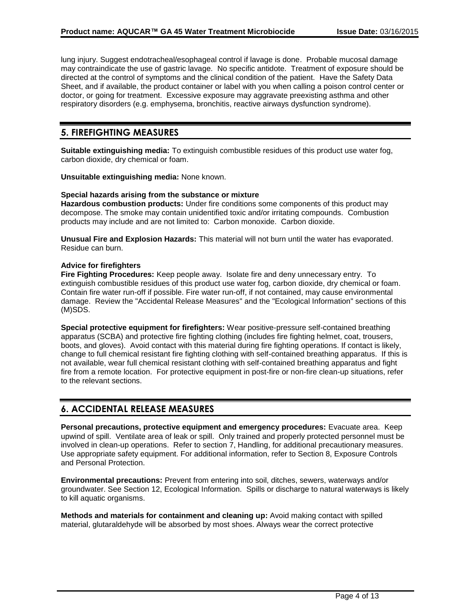lung injury. Suggest endotracheal/esophageal control if lavage is done. Probable mucosal damage may contraindicate the use of gastric lavage. No specific antidote. Treatment of exposure should be directed at the control of symptoms and the clinical condition of the patient. Have the Safety Data Sheet, and if available, the product container or label with you when calling a poison control center or doctor, or going for treatment. Excessive exposure may aggravate preexisting asthma and other respiratory disorders (e.g. emphysema, bronchitis, reactive airways dysfunction syndrome).

## **5. FIREFIGHTING MEASURES**

**Suitable extinguishing media:** To extinguish combustible residues of this product use water fog, carbon dioxide, dry chemical or foam.

**Unsuitable extinguishing media:** None known.

### **Special hazards arising from the substance or mixture**

**Hazardous combustion products:** Under fire conditions some components of this product may decompose. The smoke may contain unidentified toxic and/or irritating compounds. Combustion products may include and are not limited to: Carbon monoxide. Carbon dioxide.

**Unusual Fire and Explosion Hazards:** This material will not burn until the water has evaporated. Residue can burn.

### **Advice for firefighters**

**Fire Fighting Procedures:** Keep people away. Isolate fire and deny unnecessary entry. To extinguish combustible residues of this product use water fog, carbon dioxide, dry chemical or foam. Contain fire water run-off if possible. Fire water run-off, if not contained, may cause environmental damage. Review the "Accidental Release Measures" and the "Ecological Information" sections of this (M)SDS.

**Special protective equipment for firefighters:** Wear positive-pressure self-contained breathing apparatus (SCBA) and protective fire fighting clothing (includes fire fighting helmet, coat, trousers, boots, and gloves). Avoid contact with this material during fire fighting operations. If contact is likely, change to full chemical resistant fire fighting clothing with self-contained breathing apparatus. If this is not available, wear full chemical resistant clothing with self-contained breathing apparatus and fight fire from a remote location. For protective equipment in post-fire or non-fire clean-up situations, refer to the relevant sections.

## **6. ACCIDENTAL RELEASE MEASURES**

**Personal precautions, protective equipment and emergency procedures:** Evacuate area. Keep upwind of spill. Ventilate area of leak or spill. Only trained and properly protected personnel must be involved in clean-up operations. Refer to section 7, Handling, for additional precautionary measures. Use appropriate safety equipment. For additional information, refer to Section 8, Exposure Controls and Personal Protection.

**Environmental precautions:** Prevent from entering into soil, ditches, sewers, waterways and/or groundwater. See Section 12, Ecological Information. Spills or discharge to natural waterways is likely to kill aquatic organisms.

**Methods and materials for containment and cleaning up:** Avoid making contact with spilled material, glutaraldehyde will be absorbed by most shoes. Always wear the correct protective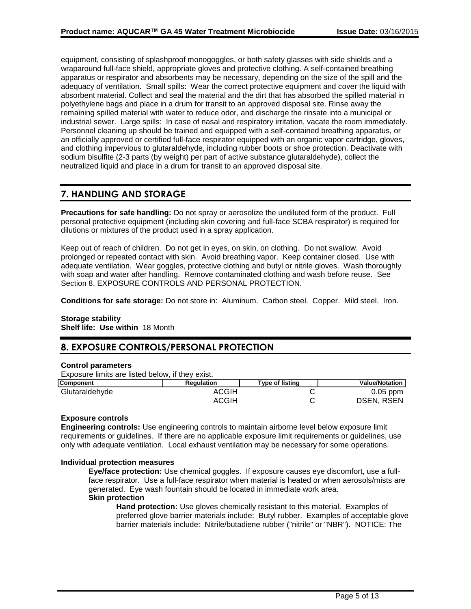equipment, consisting of splashproof monogoggles, or both safety glasses with side shields and a wraparound full-face shield, appropriate gloves and protective clothing. A self-contained breathing apparatus or respirator and absorbents may be necessary, depending on the size of the spill and the adequacy of ventilation. Small spills: Wear the correct protective equipment and cover the liquid with absorbent material. Collect and seal the material and the dirt that has absorbed the spilled material in polyethylene bags and place in a drum for transit to an approved disposal site. Rinse away the remaining spilled material with water to reduce odor, and discharge the rinsate into a municipal or industrial sewer. Large spills: In case of nasal and respiratory irritation, vacate the room immediately. Personnel cleaning up should be trained and equipped with a self-contained breathing apparatus, or an officially approved or certified full-face respirator equipped with an organic vapor cartridge, gloves, and clothing impervious to glutaraldehyde, including rubber boots or shoe protection. Deactivate with sodium bisulfite (2-3 parts (by weight) per part of active substance glutaraldehyde), collect the neutralized liquid and place in a drum for transit to an approved disposal site.

## **7. HANDLING AND STORAGE**

**Precautions for safe handling:** Do not spray or aerosolize the undiluted form of the product. Full personal protective equipment (including skin covering and full-face SCBA respirator) is required for dilutions or mixtures of the product used in a spray application.

Keep out of reach of children. Do not get in eyes, on skin, on clothing. Do not swallow. Avoid prolonged or repeated contact with skin. Avoid breathing vapor. Keep container closed. Use with adequate ventilation. Wear goggles, protective clothing and butyl or nitrile gloves. Wash thoroughly with soap and water after handling. Remove contaminated clothing and wash before reuse. See Section 8, EXPOSURE CONTROLS AND PERSONAL PROTECTION.

**Conditions for safe storage:** Do not store in: Aluminum. Carbon steel. Copper. Mild steel. Iron.

## **Storage stability**

**Shelf life: Use within** 18 Month

## **8. EXPOSURE CONTROLS/PERSONAL PROTECTION**

#### **Control parameters**

Exposure limits are listed below, if they exist.

| <b>Component</b> | <b>Regulation</b> | <b>Type of listing</b> | <b>Value/Notation</b> |
|------------------|-------------------|------------------------|-----------------------|
| Glutaraldehyde   | ACGIH             |                        | $0.05$ ppm            |
|                  | ACGIH             |                        | <b>DSEN, RSEN</b>     |

### **Exposure controls**

**Engineering controls:** Use engineering controls to maintain airborne level below exposure limit requirements or guidelines. If there are no applicable exposure limit requirements or guidelines, use only with adequate ventilation. Local exhaust ventilation may be necessary for some operations.

#### **Individual protection measures**

**Eye/face protection:** Use chemical goggles. If exposure causes eye discomfort, use a fullface respirator. Use a full-face respirator when material is heated or when aerosols/mists are generated. Eye wash fountain should be located in immediate work area. **Skin protection**

**Hand protection:** Use gloves chemically resistant to this material. Examples of preferred glove barrier materials include: Butyl rubber. Examples of acceptable glove barrier materials include: Nitrile/butadiene rubber ("nitrile" or "NBR"). NOTICE: The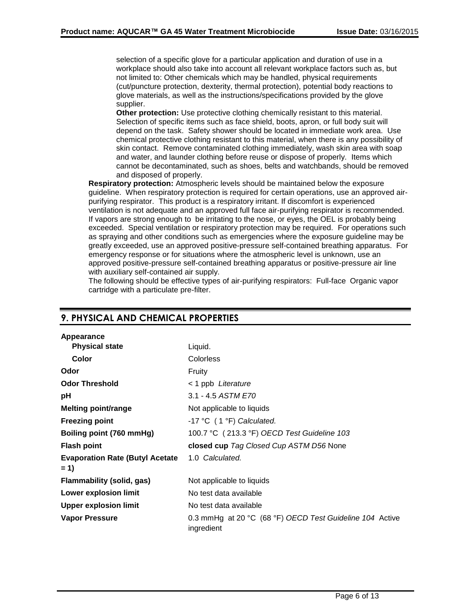selection of a specific glove for a particular application and duration of use in a workplace should also take into account all relevant workplace factors such as, but not limited to: Other chemicals which may be handled, physical requirements (cut/puncture protection, dexterity, thermal protection), potential body reactions to glove materials, as well as the instructions/specifications provided by the glove supplier.

**Other protection:** Use protective clothing chemically resistant to this material. Selection of specific items such as face shield, boots, apron, or full body suit will depend on the task. Safety shower should be located in immediate work area. Use chemical protective clothing resistant to this material, when there is any possibility of skin contact. Remove contaminated clothing immediately, wash skin area with soap and water, and launder clothing before reuse or dispose of properly. Items which cannot be decontaminated, such as shoes, belts and watchbands, should be removed and disposed of properly.

**Respiratory protection:** Atmospheric levels should be maintained below the exposure guideline. When respiratory protection is required for certain operations, use an approved airpurifying respirator. This product is a respiratory irritant. If discomfort is experienced ventilation is not adequate and an approved full face air-purifying respirator is recommended. If vapors are strong enough to be irritating to the nose, or eyes, the OEL is probably being exceeded. Special ventilation or respiratory protection may be required. For operations such as spraying and other conditions such as emergencies where the exposure guideline may be greatly exceeded, use an approved positive-pressure self-contained breathing apparatus. For emergency response or for situations where the atmospheric level is unknown, use an approved positive-pressure self-contained breathing apparatus or positive-pressure air line with auxiliary self-contained air supply.

The following should be effective types of air-purifying respirators: Full-face Organic vapor cartridge with a particulate pre-filter.

| Appearance                                      |                                                                        |
|-------------------------------------------------|------------------------------------------------------------------------|
| <b>Physical state</b>                           | Liquid.                                                                |
| Color                                           | Colorless                                                              |
| Odor                                            | Fruity                                                                 |
| <b>Odor Threshold</b>                           | < 1 ppb Literature                                                     |
| рH                                              | 3.1 - 4.5 ASTM E70                                                     |
| <b>Melting point/range</b>                      | Not applicable to liquids                                              |
| <b>Freezing point</b>                           | -17 °C $(1 °F)$ Calculated.                                            |
| Boiling point (760 mmHg)                        | 100.7 °C (213.3 °F) OECD Test Guideline 103                            |
| <b>Flash point</b>                              | closed cup Tag Closed Cup ASTM D56 None                                |
| <b>Evaporation Rate (Butyl Acetate</b><br>$= 1$ | 1.0 Calculated.                                                        |
| <b>Flammability (solid, gas)</b>                | Not applicable to liquids                                              |
| Lower explosion limit                           | No test data available                                                 |
| <b>Upper explosion limit</b>                    | No test data available                                                 |
| Vapor Pressure                                  | 0.3 mmHg at 20 °C (68 °F) OECD Test Guideline 104 Active<br>ingredient |

## **9. PHYSICAL AND CHEMICAL PROPERTIES**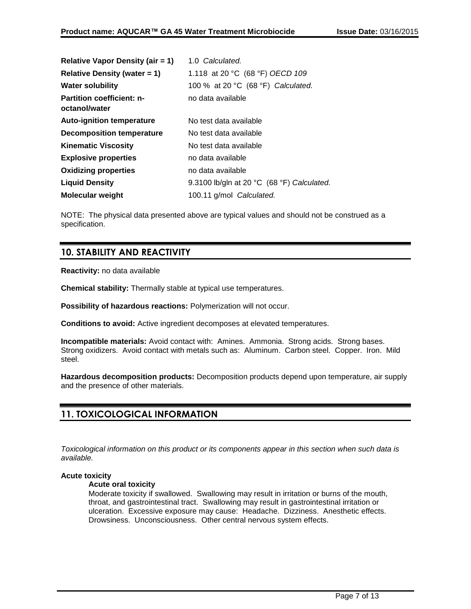| <b>Relative Vapor Density (air = 1)</b>           | 1.0 Calculated.                            |
|---------------------------------------------------|--------------------------------------------|
| <b>Relative Density (water = 1)</b>               | 1.118 at 20 °C (68 °F) OECD 109            |
| <b>Water solubility</b>                           | 100 % at 20 °C (68 °F) Calculated.         |
| <b>Partition coefficient: n-</b><br>octanol/water | no data available                          |
| <b>Auto-ignition temperature</b>                  | No test data available                     |
| <b>Decomposition temperature</b>                  | No test data available                     |
| <b>Kinematic Viscosity</b>                        | No test data available                     |
| <b>Explosive properties</b>                       | no data available                          |
| <b>Oxidizing properties</b>                       | no data available                          |
| <b>Liquid Density</b>                             | 9.3100 lb/gln at 20 °C (68 °F) Calculated. |
| <b>Molecular weight</b>                           | 100.11 g/mol Calculated.                   |

NOTE: The physical data presented above are typical values and should not be construed as a specification.

## **10. STABILITY AND REACTIVITY**

**Reactivity:** no data available

**Chemical stability:** Thermally stable at typical use temperatures.

**Possibility of hazardous reactions:** Polymerization will not occur.

**Conditions to avoid:** Active ingredient decomposes at elevated temperatures.

**Incompatible materials:** Avoid contact with: Amines. Ammonia. Strong acids. Strong bases. Strong oxidizers. Avoid contact with metals such as: Aluminum. Carbon steel. Copper. Iron. Mild steel.

**Hazardous decomposition products:** Decomposition products depend upon temperature, air supply and the presence of other materials.

## **11. TOXICOLOGICAL INFORMATION**

*Toxicological information on this product or its components appear in this section when such data is available.*

## **Acute toxicity**

#### **Acute oral toxicity**

Moderate toxicity if swallowed. Swallowing may result in irritation or burns of the mouth, throat, and gastrointestinal tract. Swallowing may result in gastrointestinal irritation or ulceration. Excessive exposure may cause: Headache. Dizziness. Anesthetic effects. Drowsiness. Unconsciousness. Other central nervous system effects.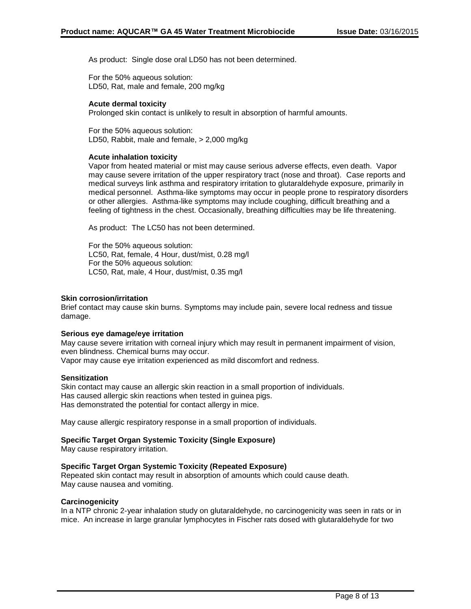As product: Single dose oral LD50 has not been determined.

For the 50% aqueous solution: LD50, Rat, male and female, 200 mg/kg

### **Acute dermal toxicity**

Prolonged skin contact is unlikely to result in absorption of harmful amounts.

For the 50% aqueous solution: LD50, Rabbit, male and female, > 2,000 mg/kg

### **Acute inhalation toxicity**

Vapor from heated material or mist may cause serious adverse effects, even death. Vapor may cause severe irritation of the upper respiratory tract (nose and throat). Case reports and medical surveys link asthma and respiratory irritation to glutaraldehyde exposure, primarily in medical personnel. Asthma-like symptoms may occur in people prone to respiratory disorders or other allergies. Asthma-like symptoms may include coughing, difficult breathing and a feeling of tightness in the chest. Occasionally, breathing difficulties may be life threatening.

As product: The LC50 has not been determined.

For the 50% aqueous solution: LC50, Rat, female, 4 Hour, dust/mist, 0.28 mg/l For the 50% aqueous solution: LC50, Rat, male, 4 Hour, dust/mist, 0.35 mg/l

#### **Skin corrosion/irritation**

Brief contact may cause skin burns. Symptoms may include pain, severe local redness and tissue damage.

#### **Serious eye damage/eye irritation**

May cause severe irritation with corneal injury which may result in permanent impairment of vision, even blindness. Chemical burns may occur.

Vapor may cause eye irritation experienced as mild discomfort and redness.

### **Sensitization**

Skin contact may cause an allergic skin reaction in a small proportion of individuals. Has caused allergic skin reactions when tested in guinea pigs. Has demonstrated the potential for contact allergy in mice.

May cause allergic respiratory response in a small proportion of individuals.

#### **Specific Target Organ Systemic Toxicity (Single Exposure)**

May cause respiratory irritation.

#### **Specific Target Organ Systemic Toxicity (Repeated Exposure)**

Repeated skin contact may result in absorption of amounts which could cause death. May cause nausea and vomiting.

#### **Carcinogenicity**

In a NTP chronic 2-year inhalation study on glutaraldehyde, no carcinogenicity was seen in rats or in mice. An increase in large granular lymphocytes in Fischer rats dosed with glutaraldehyde for two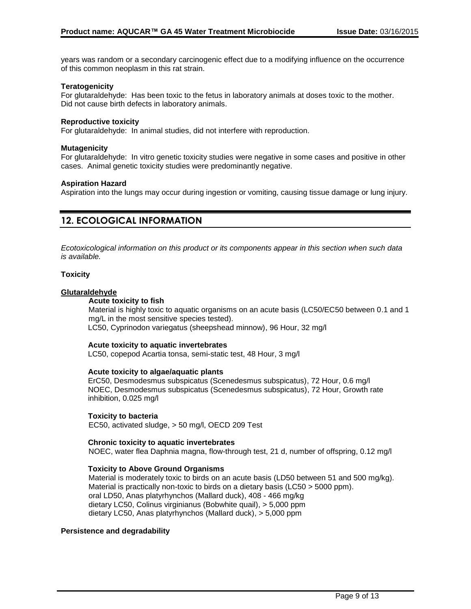years was random or a secondary carcinogenic effect due to a modifying influence on the occurrence of this common neoplasm in this rat strain.

#### **Teratogenicity**

For glutaraldehyde: Has been toxic to the fetus in laboratory animals at doses toxic to the mother. Did not cause birth defects in laboratory animals.

#### **Reproductive toxicity**

For glutaraldehyde: In animal studies, did not interfere with reproduction.

#### **Mutagenicity**

For glutaraldehyde: In vitro genetic toxicity studies were negative in some cases and positive in other cases. Animal genetic toxicity studies were predominantly negative.

#### **Aspiration Hazard**

Aspiration into the lungs may occur during ingestion or vomiting, causing tissue damage or lung injury.

## **12. ECOLOGICAL INFORMATION**

*Ecotoxicological information on this product or its components appear in this section when such data is available.*

#### **Toxicity**

#### **Glutaraldehyde**

#### **Acute toxicity to fish**

Material is highly toxic to aquatic organisms on an acute basis (LC50/EC50 between 0.1 and 1 mg/L in the most sensitive species tested). LC50, Cyprinodon variegatus (sheepshead minnow), 96 Hour, 32 mg/l

#### **Acute toxicity to aquatic invertebrates**

LC50, copepod Acartia tonsa, semi-static test, 48 Hour, 3 mg/l

#### **Acute toxicity to algae/aquatic plants**

ErC50, Desmodesmus subspicatus (Scenedesmus subspicatus), 72 Hour, 0.6 mg/l NOEC, Desmodesmus subspicatus (Scenedesmus subspicatus), 72 Hour, Growth rate inhibition, 0.025 mg/l

#### **Toxicity to bacteria**

EC50, activated sludge, > 50 mg/l, OECD 209 Test

#### **Chronic toxicity to aquatic invertebrates**

NOEC, water flea Daphnia magna, flow-through test, 21 d, number of offspring, 0.12 mg/l

#### **Toxicity to Above Ground Organisms**

Material is moderately toxic to birds on an acute basis (LD50 between 51 and 500 mg/kg). Material is practically non-toxic to birds on a dietary basis (LC50 > 5000 ppm). oral LD50, Anas platyrhynchos (Mallard duck), 408 - 466 mg/kg dietary LC50, Colinus virginianus (Bobwhite quail), > 5,000 ppm dietary LC50, Anas platyrhynchos (Mallard duck), > 5,000 ppm

#### **Persistence and degradability**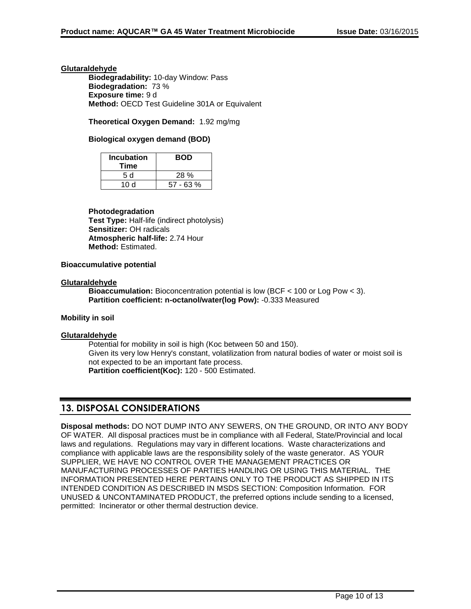### **Glutaraldehyde**

**Biodegradability:** 10-day Window: Pass **Biodegradation:** 73 % **Exposure time:** 9 d **Method:** OECD Test Guideline 301A or Equivalent

## **Theoretical Oxygen Demand:** 1.92 mg/mg

### **Biological oxygen demand (BOD)**

| <b>Incubation</b><br>Time | <b>BOD</b>  |
|---------------------------|-------------|
| 5 d                       | 28%         |
| 10 d                      | $57 - 63 %$ |

### **Photodegradation**

**Test Type:** Half-life (indirect photolysis) **Sensitizer:** OH radicals **Atmospheric half-life:** 2.74 Hour **Method:** Estimated.

### **Bioaccumulative potential**

#### **Glutaraldehyde**

**Bioaccumulation:** Bioconcentration potential is low (BCF < 100 or Log Pow < 3). **Partition coefficient: n-octanol/water(log Pow):** -0.333 Measured

#### **Mobility in soil**

#### **Glutaraldehyde**

Potential for mobility in soil is high (Koc between 50 and 150). Given its very low Henry's constant, volatilization from natural bodies of water or moist soil is not expected to be an important fate process. **Partition coefficient(Koc):** 120 - 500 Estimated.

## **13. DISPOSAL CONSIDERATIONS**

**Disposal methods:** DO NOT DUMP INTO ANY SEWERS, ON THE GROUND, OR INTO ANY BODY OF WATER. All disposal practices must be in compliance with all Federal, State/Provincial and local laws and regulations. Regulations may vary in different locations. Waste characterizations and compliance with applicable laws are the responsibility solely of the waste generator. AS YOUR SUPPLIER, WE HAVE NO CONTROL OVER THE MANAGEMENT PRACTICES OR MANUFACTURING PROCESSES OF PARTIES HANDLING OR USING THIS MATERIAL. THE INFORMATION PRESENTED HERE PERTAINS ONLY TO THE PRODUCT AS SHIPPED IN ITS INTENDED CONDITION AS DESCRIBED IN MSDS SECTION: Composition Information. FOR UNUSED & UNCONTAMINATED PRODUCT, the preferred options include sending to a licensed, permitted: Incinerator or other thermal destruction device.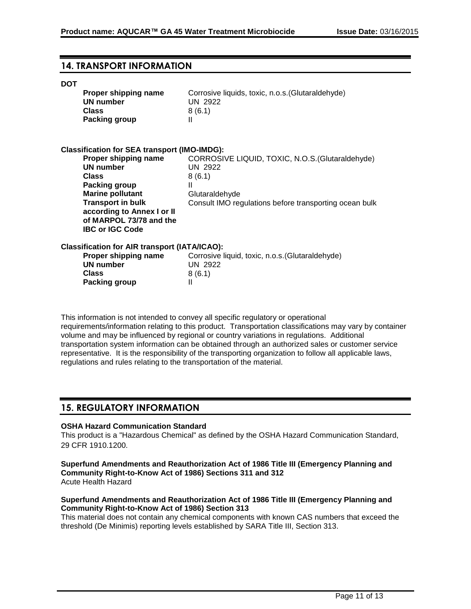## **14. TRANSPORT INFORMATION**

#### **DOT**

| Proper shipping name<br>UN number<br><b>Class</b><br>Packing group                                                                                                                                                  | Corrosive liquids, toxic, n.o.s. (Glutaraldehyde)<br><b>UN 2922</b><br>8(6.1)<br>Ш                                                                            |
|---------------------------------------------------------------------------------------------------------------------------------------------------------------------------------------------------------------------|---------------------------------------------------------------------------------------------------------------------------------------------------------------|
| <b>Classification for SEA transport (IMO-IMDG):</b>                                                                                                                                                                 |                                                                                                                                                               |
| Proper shipping name<br><b>UN number</b><br><b>Class</b><br>Packing group<br><b>Marine pollutant</b><br><b>Transport in bulk</b><br>according to Annex I or II<br>of MARPOL 73/78 and the<br><b>IBC or IGC Code</b> | CORROSIVE LIQUID, TOXIC, N.O.S. (Glutaraldehyde)<br><b>UN 2922</b><br>8(6.1)<br>Ш<br>Glutaraldehyde<br>Consult IMO regulations before transporting ocean bulk |
| Classification for AIR transport (IATA/ICAO):<br>Proper shipping name<br><b>UN number</b><br><b>Class</b><br>Packing group                                                                                          | Corrosive liquid, toxic, n.o.s. (Glutaraldehyde)<br><b>UN 2922</b><br>8(6.1)<br>$\mathbf{I}$                                                                  |
|                                                                                                                                                                                                                     |                                                                                                                                                               |

This information is not intended to convey all specific regulatory or operational requirements/information relating to this product. Transportation classifications may vary by container volume and may be influenced by regional or country variations in regulations. Additional transportation system information can be obtained through an authorized sales or customer service representative. It is the responsibility of the transporting organization to follow all applicable laws, regulations and rules relating to the transportation of the material.

## **15. REGULATORY INFORMATION**

### **OSHA Hazard Communication Standard**

This product is a "Hazardous Chemical" as defined by the OSHA Hazard Communication Standard, 29 CFR 1910.1200.

**Superfund Amendments and Reauthorization Act of 1986 Title III (Emergency Planning and Community Right-to-Know Act of 1986) Sections 311 and 312** Acute Health Hazard

### **Superfund Amendments and Reauthorization Act of 1986 Title III (Emergency Planning and Community Right-to-Know Act of 1986) Section 313**

This material does not contain any chemical components with known CAS numbers that exceed the threshold (De Minimis) reporting levels established by SARA Title III, Section 313.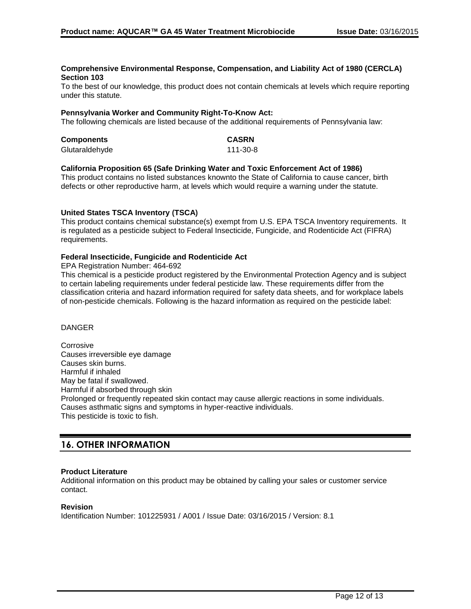#### **Comprehensive Environmental Response, Compensation, and Liability Act of 1980 (CERCLA) Section 103**

To the best of our knowledge, this product does not contain chemicals at levels which require reporting under this statute.

#### **Pennsylvania Worker and Community Right-To-Know Act:**

The following chemicals are listed because of the additional requirements of Pennsylvania law:

| <b>Components</b> | <b>CASRN</b> |
|-------------------|--------------|
| Glutaraldehyde    | 111-30-8     |

#### **California Proposition 65 (Safe Drinking Water and Toxic Enforcement Act of 1986)**

This product contains no listed substances knownto the State of California to cause cancer, birth defects or other reproductive harm, at levels which would require a warning under the statute.

#### **United States TSCA Inventory (TSCA)**

This product contains chemical substance(s) exempt from U.S. EPA TSCA Inventory requirements. It is regulated as a pesticide subject to Federal Insecticide, Fungicide, and Rodenticide Act (FIFRA) requirements.

#### **Federal Insecticide, Fungicide and Rodenticide Act**

EPA Registration Number: 464-692

This chemical is a pesticide product registered by the Environmental Protection Agency and is subject to certain labeling requirements under federal pesticide law. These requirements differ from the classification criteria and hazard information required for safety data sheets, and for workplace labels of non-pesticide chemicals. Following is the hazard information as required on the pesticide label:

#### DANGER

Corrosive Causes irreversible eye damage Causes skin burns. Harmful if inhaled May be fatal if swallowed. Harmful if absorbed through skin Prolonged or frequently repeated skin contact may cause allergic reactions in some individuals. Causes asthmatic signs and symptoms in hyper-reactive individuals. This pesticide is toxic to fish.

## **16. OTHER INFORMATION**

#### **Product Literature**

Additional information on this product may be obtained by calling your sales or customer service contact.

#### **Revision**

Identification Number: 101225931 / A001 / Issue Date: 03/16/2015 / Version: 8.1